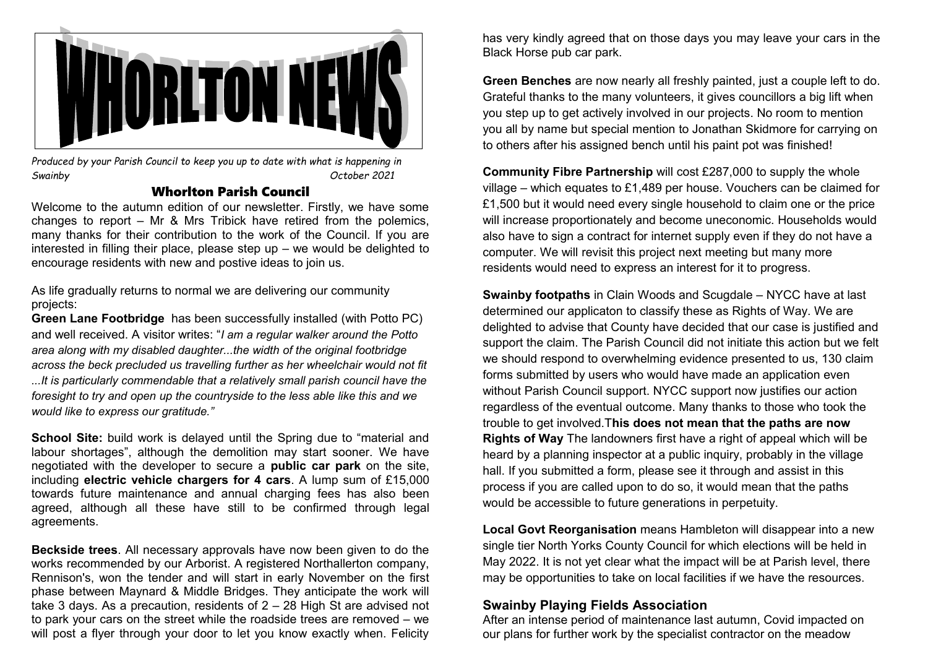

*Produced by your Parish Council to keep you up to date with what is happening in Swainby October 2021*

### Whorlton Parish Council

Welcome to the autumn edition of our newsletter. Firstly, we have some changes to report – Mr & Mrs Tribick have retired from the polemics, many thanks for their contribution to the work of the Council. If you are interested in filling their place, please step up – we would be delighted to encourage residents with new and postive ideas to join us.

As life gradually returns to normal we are delivering our community projects:

**Green Lane Footbridge** has been successfully installed (with Potto PC) and well received. A visitor writes: "*I am a regular walker around the Potto area along with my disabled daughter...the width of the original footbridge across the beck precluded us travelling further as her wheelchair would not fit ...It is particularly commendable that a relatively small parish council have the foresight to try and open up the countryside to the less able like this and we would like to express our gratitude."*

**School Site:** build work is delayed until the Spring due to "material and labour shortages", although the demolition may start sooner. We have negotiated with the developer to secure a **public car park** on the site, including **electric vehicle chargers for 4 cars**. A lump sum of £15,000 towards future maintenance and annual charging fees has also been agreed, although all these have still to be confirmed through legal agreements.

**Beckside trees**. All necessary approvals have now been given to do the works recommended by our Arborist. A registered Northallerton company, Rennison's, won the tender and will start in early November on the first phase between Maynard & Middle Bridges. They anticipate the work will take 3 days. As a precaution, residents of 2 – 28 High St are advised not to park your cars on the street while the roadside trees are removed – we will post a flyer through your door to let you know exactly when. Felicity

has very kindly agreed that on those days you may leave your cars in the Black Horse pub car park.

**Green Benches** are now nearly all freshly painted, just a couple left to do. Grateful thanks to the many volunteers, it gives councillors a big lift when you step up to get actively involved in our projects. No room to mention you all by name but special mention to Jonathan Skidmore for carrying on to others after his assigned bench until his paint pot was finished!

**Community Fibre Partnership** will cost £287,000 to supply the whole village – which equates to £1,489 per house. Vouchers can be claimed for £1,500 but it would need every single household to claim one or the price will increase proportionately and become uneconomic. Households would also have to sign a contract for internet supply even if they do not have a computer. We will revisit this project next meeting but many more residents would need to express an interest for it to progress.

**Swainby footpaths** in Clain Woods and Scugdale – NYCC have at last determined our applicaton to classify these as Rights of Way. We are delighted to advise that County have decided that our case is justified and support the claim. The Parish Council did not initiate this action but we felt we should respond to overwhelming evidence presented to us, 130 claim forms submitted by users who would have made an application even without Parish Council support. NYCC support now justifies our action regardless of the eventual outcome. Many thanks to those who took the trouble to get involved.T**his does not mean that the paths are now Rights of Way** The landowners first have a right of appeal which will be heard by a planning inspector at a public inquiry, probably in the village hall. If you submitted a form, please see it through and assist in this process if you are called upon to do so, it would mean that the paths would be accessible to future generations in perpetuity.

**Local Govt Reorganisation** means Hambleton will disappear into a new single tier North Yorks County Council for which elections will be held in May 2022. It is not yet clear what the impact will be at Parish level, there may be opportunities to take on local facilities if we have the resources.

# **Swainby Playing Fields Association**

After an intense period of maintenance last autumn, Covid impacted on our plans for further work by the specialist contractor on the meadow